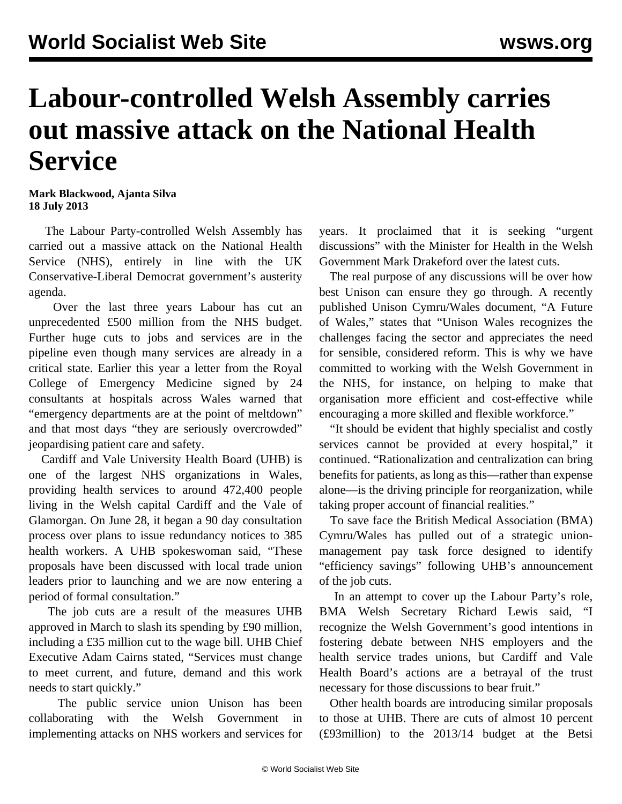## **Labour-controlled Welsh Assembly carries out massive attack on the National Health Service**

**Mark Blackwood, Ajanta Silva 18 July 2013**

 The Labour Party-controlled Welsh Assembly has carried out a massive attack on the National Health Service (NHS), entirely in line with the UK Conservative-Liberal Democrat government's austerity agenda.

 Over the last three years Labour has cut an unprecedented £500 million from the NHS budget. Further huge cuts to jobs and services are in the pipeline even though many services are already in a critical state. Earlier this year a letter from the Royal College of Emergency Medicine signed by 24 consultants at hospitals across Wales warned that "emergency departments are at the point of meltdown" and that most days "they are seriously overcrowded" jeopardising patient care and safety.

 Cardiff and Vale University Health Board (UHB) is one of the largest NHS organizations in Wales, providing health services to around 472,400 people living in the Welsh capital Cardiff and the Vale of Glamorgan. On June 28, it began a 90 day consultation process over plans to issue redundancy notices to 385 health workers. A UHB spokeswoman said, "These proposals have been discussed with local trade union leaders prior to launching and we are now entering a period of formal consultation."

 The job cuts are a result of the measures UHB approved in March to slash its spending by £90 million, including a £35 million cut to the wage bill. UHB Chief Executive Adam Cairns stated, "Services must change to meet current, and future, demand and this work needs to start quickly."

 The public service union Unison has been collaborating with the Welsh Government in implementing attacks on NHS workers and services for years. It proclaimed that it is seeking "urgent discussions" with the Minister for Health in the Welsh Government Mark Drakeford over the latest cuts.

 The real purpose of any discussions will be over how best Unison can ensure they go through. A recently published Unison Cymru/Wales document, "A Future of Wales," states that "Unison Wales recognizes the challenges facing the sector and appreciates the need for sensible, considered reform. This is why we have committed to working with the Welsh Government in the NHS, for instance, on helping to make that organisation more efficient and cost-effective while encouraging a more skilled and flexible workforce."

 "It should be evident that highly specialist and costly services cannot be provided at every hospital," it continued. "Rationalization and centralization can bring benefits for patients, as long as this—rather than expense alone—is the driving principle for reorganization, while taking proper account of financial realities."

 To save face the British Medical Association (BMA) Cymru/Wales has pulled out of a strategic unionmanagement pay task force designed to identify "efficiency savings" following UHB's announcement of the job cuts.

 In an attempt to cover up the Labour Party's role, BMA Welsh Secretary Richard Lewis said, "I recognize the Welsh Government's good intentions in fostering debate between NHS employers and the health service trades unions, but Cardiff and Vale Health Board's actions are a betrayal of the trust necessary for those discussions to bear fruit."

 Other health boards are introducing similar proposals to those at UHB. There are cuts of almost 10 percent (£93million) to the 2013/14 budget at the Betsi